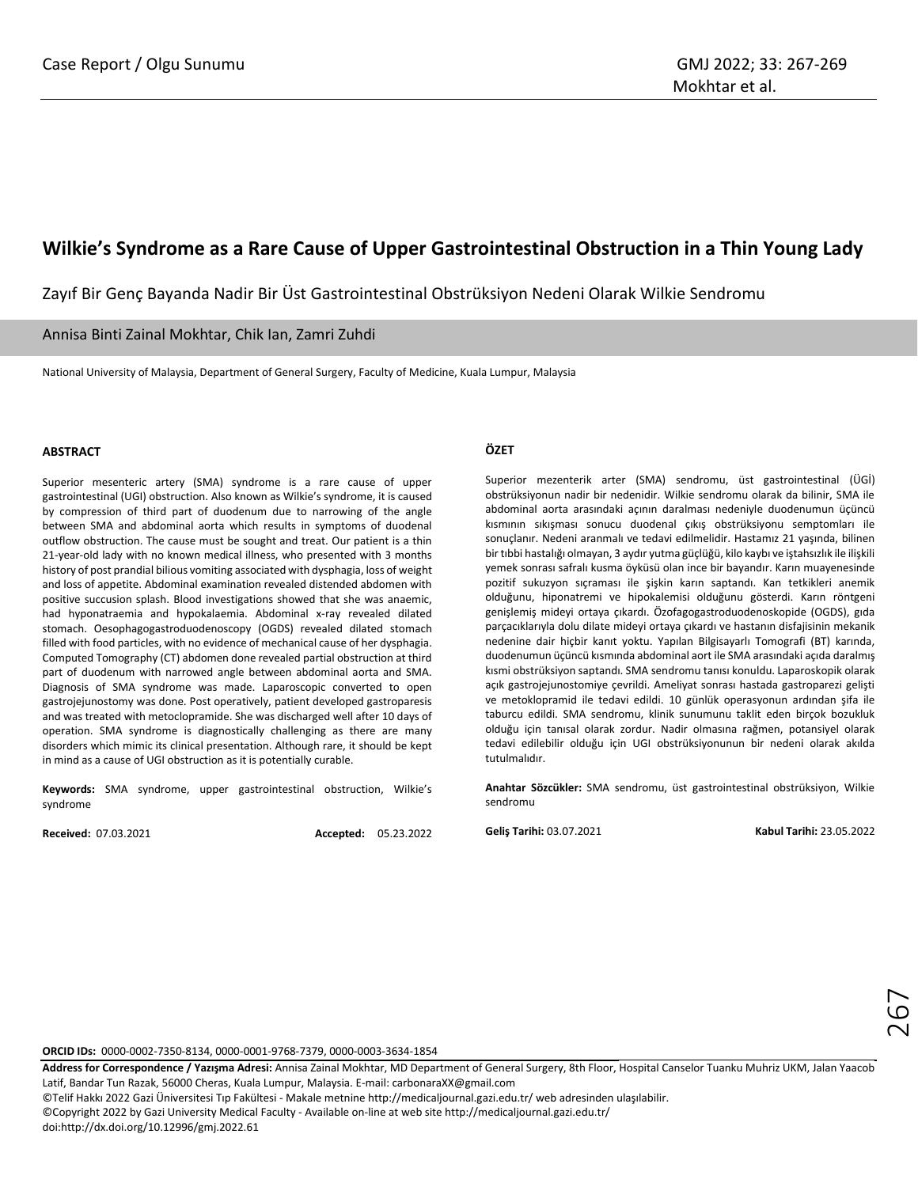## **Wilkie's Syndrome as a Rare Cause of Upper Gastrointestinal Obstruction in a Thin Young Lady**

Zayıf Bir Genç Bayanda Nadir Bir Üst Gastrointestinal Obstrüksiyon Nedeni Olarak Wilkie Sendromu

Annisa Binti Zainal Mokhtar, Chik Ian, Zamri Zuhdi

National University of Malaysia, Department of General Surgery, Faculty of Medicine, Kuala Lumpur, Malaysia

## **ABSTRACT**

Superior mesenteric artery (SMA) syndrome is a rare cause of upper gastrointestinal (UGI) obstruction. Also known as Wilkie's syndrome, it is caused by compression of third part of duodenum due to narrowing of the angle between SMA and abdominal aorta which results in symptoms of duodenal outflow obstruction. The cause must be sought and treat. Our patient is a thin 21-year-old lady with no known medical illness, who presented with 3 months history of post prandial bilious vomiting associated with dysphagia, loss of weight and loss of appetite. Abdominal examination revealed distended abdomen with positive succusion splash. Blood investigations showed that she was anaemic, had hyponatraemia and hypokalaemia. Abdominal x-ray revealed dilated stomach. Oesophagogastroduodenoscopy (OGDS) revealed dilated stomach filled with food particles, with no evidence of mechanical cause of her dysphagia. Computed Tomography (CT) abdomen done revealed partial obstruction at third part of duodenum with narrowed angle between abdominal aorta and SMA. Diagnosis of SMA syndrome was made. Laparoscopic converted to open gastrojejunostomy was done. Post operatively, patient developed gastroparesis and was treated with metoclopramide. She was discharged well after 10 days of operation. SMA syndrome is diagnostically challenging as there are many disorders which mimic its clinical presentation. Although rare, it should be kept in mind as a cause of UGI obstruction as it is potentially curable.

**Keywords:** SMA syndrome, upper gastrointestinal obstruction, Wilkie's syndrome

**Received:** 07.03.2021 **Accepted:** 05.23.2022

## **ÖZET**

Superior mezenterik arter (SMA) sendromu, üst gastrointestinal (ÜGİ) obstrüksiyonun nadir bir nedenidir. Wilkie sendromu olarak da bilinir, SMA ile abdominal aorta arasındaki açının daralması nedeniyle duodenumun üçüncü kısmının sıkışması sonucu duodenal çıkış obstrüksiyonu semptomları ile sonuçlanır. Nedeni aranmalı ve tedavi edilmelidir. Hastamız 21 yaşında, bilinen bir tıbbi hastalığı olmayan, 3 aydır yutma güçlüğü, kilo kaybı ve iştahsızlık ile ilişkili yemek sonrası safralı kusma öyküsü olan ince bir bayandır. Karın muayenesinde pozitif sukuzyon sıçraması ile şişkin karın saptandı. Kan tetkikleri anemik olduğunu, hiponatremi ve hipokalemisi olduğunu gösterdi. Karın röntgeni genişlemiş mideyi ortaya çıkardı. Özofagogastroduodenoskopide (OGDS), gıda parçacıklarıyla dolu dilate mideyi ortaya çıkardı ve hastanın disfajisinin mekanik nedenine dair hiçbir kanıt yoktu. Yapılan Bilgisayarlı Tomografi (BT) karında, duodenumun üçüncü kısmında abdominal aort ile SMA arasındaki açıda daralmış kısmi obstrüksiyon saptandı. SMA sendromu tanısı konuldu. Laparoskopik olarak açık gastrojejunostomiye çevrildi. Ameliyat sonrası hastada gastroparezi gelişti ve metoklopramid ile tedavi edildi. 10 günlük operasyonun ardından şifa ile taburcu edildi. SMA sendromu, klinik sunumunu taklit eden birçok bozukluk olduğu için tanısal olarak zordur. Nadir olmasına rağmen, potansiyel olarak tedavi edilebilir olduğu için UGI obstrüksiyonunun bir nedeni olarak akılda tutulmalıdır.

**Anahtar Sözcükler:** SMA sendromu, üst gastrointestinal obstrüksiyon, Wilkie sendromu

**Geliş Tarihi:** 03.07.2021 **Kabul Tarihi:** 23.05.2022

**ORCID IDs:** 0000-0002-7350-8134, 0000-0001-9768-7379, 0000-0003-3634-1854

**Address for Correspondence / Yazışma Adresi:** Annisa Zainal Mokhtar, MD Department of General Surgery, 8th Floor, Hospital Canselor Tuanku Muhriz UKM, Jalan Yaacob Latif, Bandar Tun Razak, 56000 Cheras, Kuala Lumpur, Malaysia. E-mail[: carbonaraXX@gmail.com](mailto:carbonaraXX@gmail.com)

©Telif Hakkı 2022 Gazi Üniversitesi Tıp Fakültesi - Makale metnine http://medicaljournal.gazi.edu.tr/ web adresinden ulaşılabilir.

©Copyright 2022 by Gazi University Medical Faculty - Available on-line at web site http://medicaljournal.gazi.edu.tr/

doi:http://dx.doi.org/10.12996/gmj.2022.61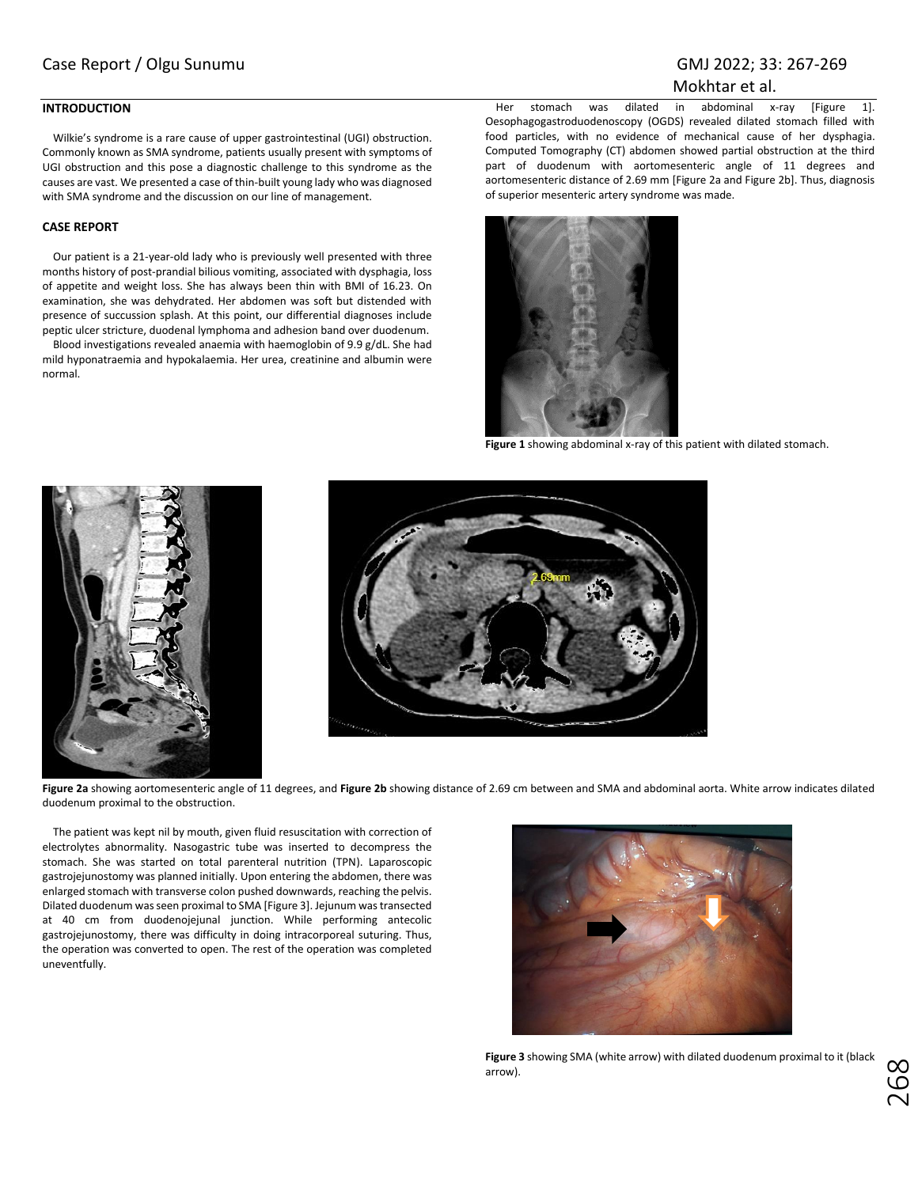## Mokhtar et al.

## **INTRODUCTION**

Wilkie's syndrome is a rare cause of upper gastrointestinal (UGI) obstruction. Commonly known as SMA syndrome, patients usually present with symptoms of UGI obstruction and this pose a diagnostic challenge to this syndrome as the causes are vast. We presented a case of thin-built young lady who was diagnosed with SMA syndrome and the discussion on our line of management.

## **CASE REPORT**

Our patient is a 21-year-old lady who is previously well presented with three months history of post-prandial bilious vomiting, associated with dysphagia, loss of appetite and weight loss. She has always been thin with BMI of 16.23. On examination, she was dehydrated. Her abdomen was soft but distended with presence of succussion splash. At this point, our differential diagnoses include peptic ulcer stricture, duodenal lymphoma and adhesion band over duodenum.

Blood investigations revealed anaemia with haemoglobin of 9.9 g/dL. She had mild hyponatraemia and hypokalaemia. Her urea, creatinine and albumin were normal.

Her stomach was dilated in abdominal x-ray [Figure 1]. Oesophagogastroduodenoscopy (OGDS) revealed dilated stomach filled with food particles, with no evidence of mechanical cause of her dysphagia. Computed Tomography (CT) abdomen showed partial obstruction at the third part of duodenum with aortomesenteric angle of 11 degrees and aortomesenteric distance of 2.69 mm [Figure 2a and Figure 2b]. Thus, diagnosis of superior mesenteric artery syndrome was made.



**Figure 1** showing abdominal x-ray of this patient with dilated stomach.





**Figure 2a** showing aortomesenteric angle of 11 degrees, and **Figure 2b** showing distance of 2.69 cm between and SMA and abdominal aorta. White arrow indicates dilated duodenum proximal to the obstruction.

The patient was kept nil by mouth, given fluid resuscitation with correction of electrolytes abnormality. Nasogastric tube was inserted to decompress the stomach. She was started on total parenteral nutrition (TPN). Laparoscopic gastrojejunostomy was planned initially. Upon entering the abdomen, there was enlarged stomach with transverse colon pushed downwards, reaching the pelvis. Dilated duodenum was seen proximal to SMA [Figure 3]. Jejunum was transected at 40 cm from duodenojejunal junction. While performing antecolic gastrojejunostomy, there was difficulty in doing intracorporeal suturing. Thus, the operation was converted to open. The rest of the operation was completed uneventfully.



**Figure 3** showing SMA (white arrow) with dilated duodenum proximal to it (black arrow).

ن<br>20